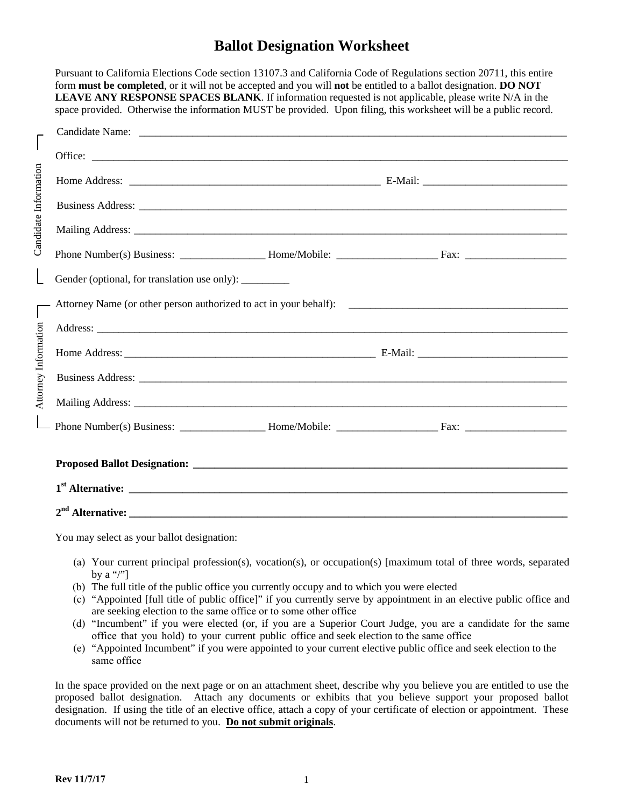# **Ballot Designation Worksheet**

Pursuant to California Elections Code section 13107.3 and California Code of Regulations section 20711, this entire

|                      | form <b>must</b> be completed, or it will not be accepted and you will not be entitled to a ballot designation. DO NOT<br><b>LEAVE ANY RESPONSE SPACES BLANK.</b> If information requested is not applicable, please write N/A in the<br>space provided. Otherwise the information MUST be provided. Upon filing, this worksheet will be a public record. |  |  |  |  |  |
|----------------------|-----------------------------------------------------------------------------------------------------------------------------------------------------------------------------------------------------------------------------------------------------------------------------------------------------------------------------------------------------------|--|--|--|--|--|
| Intormation          | Candidate Name: candidate Name: candidate Name: candidate Name: candidate Name: candidate Name: candidate Name: candidate Name: candidate Name: candidate Name: candidate Name: candidate Name: candidate Name: candidate Name                                                                                                                            |  |  |  |  |  |
|                      |                                                                                                                                                                                                                                                                                                                                                           |  |  |  |  |  |
|                      |                                                                                                                                                                                                                                                                                                                                                           |  |  |  |  |  |
|                      | Business Address: New York Contract to the Contract of the Contract of the Contract of the Contract of the Contract of the Contract of the Contract of the Contract of the Contract of the Contract of the Contract of the Con                                                                                                                            |  |  |  |  |  |
| Candidate            |                                                                                                                                                                                                                                                                                                                                                           |  |  |  |  |  |
|                      |                                                                                                                                                                                                                                                                                                                                                           |  |  |  |  |  |
|                      | Gender (optional, for translation use only): ________                                                                                                                                                                                                                                                                                                     |  |  |  |  |  |
| Attorney Information |                                                                                                                                                                                                                                                                                                                                                           |  |  |  |  |  |
|                      |                                                                                                                                                                                                                                                                                                                                                           |  |  |  |  |  |
|                      |                                                                                                                                                                                                                                                                                                                                                           |  |  |  |  |  |
|                      |                                                                                                                                                                                                                                                                                                                                                           |  |  |  |  |  |
|                      |                                                                                                                                                                                                                                                                                                                                                           |  |  |  |  |  |
|                      |                                                                                                                                                                                                                                                                                                                                                           |  |  |  |  |  |
|                      |                                                                                                                                                                                                                                                                                                                                                           |  |  |  |  |  |
|                      |                                                                                                                                                                                                                                                                                                                                                           |  |  |  |  |  |
|                      |                                                                                                                                                                                                                                                                                                                                                           |  |  |  |  |  |

You may select as your ballot designation:

- (a) Your current principal profession(s), vocation(s), or occupation(s) [maximum total of three words, separated by a "/" $\mid$
- (b) The full title of the public office you currently occupy and to which you were elected
- (c) "Appointed [full title of public office]" if you currently serve by appointment in an elective public office and are seeking election to the same office or to some other office
- (d) "Incumbent" if you were elected (or, if you are a Superior Court Judge, you are a candidate for the same office that you hold) to your current public office and seek election to the same office
- (e) "Appointed Incumbent" if you were appointed to your current elective public office and seek election to the same office

In the space provided on the next page or on an attachment sheet, describe why you believe you are entitled to use the proposed ballot designation. Attach any documents or exhibits that you believe support your proposed ballot designation. If using the title of an elective office, attach a copy of your certificate of election or appointment. These documents will not be returned to you. **Do not submit originals**.

Candidate Information

 $\overline{\mathbf{r}}$ 

 $\Gamma$  Attorney Information  $\Gamma$ 

Candidate Information

 $\begin{bmatrix} \phantom{-} \end{bmatrix}$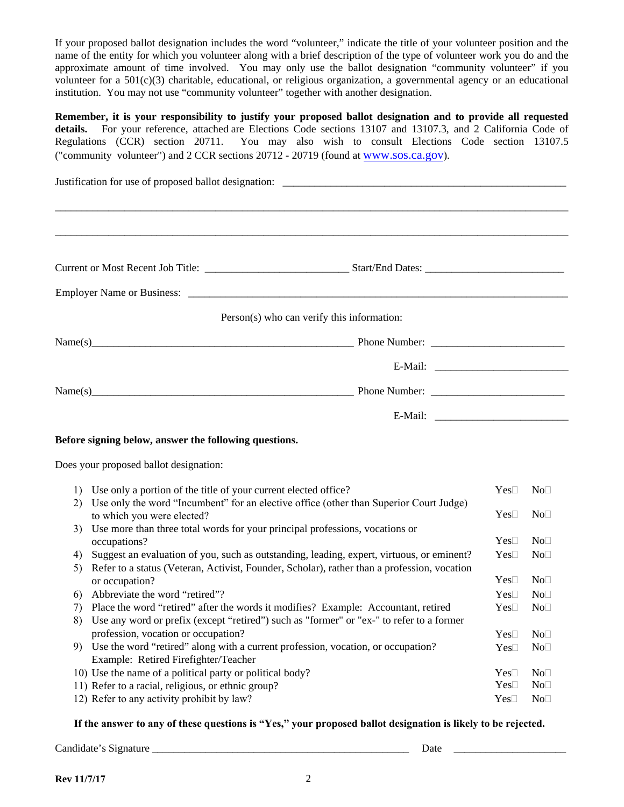If your proposed ballot designation includes the word "volunteer," indicate the title of your volunteer position and the name of the entity for which you volunteer along with a brief description of the type of volunteer work you do and the approximate amount of time involved. You may only use the ballot designation "community volunteer" if you volunteer for a  $501(c)(3)$  charitable, educational, or religious organization, a governmental agency or an educational institution. You may not use "community volunteer" together with another designation.

**Remember, it is your responsibility to justify your proposed ballot designation and to provide all requested details.** For your reference, attached are Elections Code sections 13107 and 13107.3, and 2 California Code of Regulations (CCR) section 20711. You may also wish to consult Elections Code section 13107.5 ("community volunteer") and 2 CCR sections 20712 - 20719 (found at www.sos.ca.gov).

| Justification for use of proposed ballot designation: |                                                                                                                                 |  |              |                 |  |  |  |
|-------------------------------------------------------|---------------------------------------------------------------------------------------------------------------------------------|--|--------------|-----------------|--|--|--|
|                                                       |                                                                                                                                 |  |              |                 |  |  |  |
|                                                       |                                                                                                                                 |  |              |                 |  |  |  |
|                                                       |                                                                                                                                 |  |              |                 |  |  |  |
|                                                       | Person(s) who can verify this information:                                                                                      |  |              |                 |  |  |  |
|                                                       |                                                                                                                                 |  |              |                 |  |  |  |
|                                                       |                                                                                                                                 |  |              |                 |  |  |  |
|                                                       |                                                                                                                                 |  |              |                 |  |  |  |
|                                                       |                                                                                                                                 |  |              |                 |  |  |  |
|                                                       | Before signing below, answer the following questions.                                                                           |  |              |                 |  |  |  |
|                                                       | Does your proposed ballot designation:                                                                                          |  |              |                 |  |  |  |
|                                                       | 1) Use only a portion of the title of your current elected office?                                                              |  | $Yes\square$ | No <sub>1</sub> |  |  |  |
| 2)                                                    | Use only the word "Incumbent" for an elective office (other than Superior Court Judge)<br>to which you were elected?            |  | $Yes\Box$    | No              |  |  |  |
| 3)                                                    | Use more than three total words for your principal professions, vocations or<br>occupations?                                    |  | $Yes\square$ | No <sub>1</sub> |  |  |  |
| 4)                                                    | Suggest an evaluation of you, such as outstanding, leading, expert, virtuous, or eminent?                                       |  | $Yes\square$ | No <sub>1</sub> |  |  |  |
| 5)                                                    | Refer to a status (Veteran, Activist, Founder, Scholar), rather than a profession, vocation                                     |  |              |                 |  |  |  |
|                                                       | or occupation?                                                                                                                  |  | $Yes\square$ | No <sub>1</sub> |  |  |  |
| 6)                                                    | Abbreviate the word "retired"?                                                                                                  |  | $Yes\Box$    | No              |  |  |  |
| 7)                                                    | Place the word "retired" after the words it modifies? Example: Accountant, retired                                              |  | $Yes\square$ | No <sub>1</sub> |  |  |  |
| 8)                                                    | Use any word or prefix (except "retired") such as "former" or "ex-" to refer to a former<br>profession, vocation or occupation? |  | $Yes\square$ | No <sub>1</sub> |  |  |  |
| 9)                                                    | Use the word "retired" along with a current profession, vocation, or occupation?                                                |  | $Yes\square$ | No <sub>1</sub> |  |  |  |
|                                                       | Example: Retired Firefighter/Teacher                                                                                            |  |              |                 |  |  |  |
|                                                       | 10) Use the name of a political party or political body?                                                                        |  | $Yes\square$ | No <sub>1</sub> |  |  |  |
|                                                       | 11) Refer to a racial, religious, or ethnic group?                                                                              |  | $Yes\square$ | No <sub>1</sub> |  |  |  |
|                                                       | 12) Refer to any activity prohibit by law?                                                                                      |  | $Yes\square$ | No <sub>1</sub> |  |  |  |

**If the answer to any of these questions is "Yes," your proposed ballot designation is likely to be rejected.**

Candidate's Signature \_\_\_\_\_\_\_\_\_\_\_\_\_\_\_\_\_\_\_\_\_\_\_\_\_\_\_\_\_\_\_\_\_\_\_\_\_\_\_\_\_\_\_\_\_\_\_\_ Date \_\_\_\_\_\_\_\_\_\_\_\_\_\_\_\_\_\_\_\_\_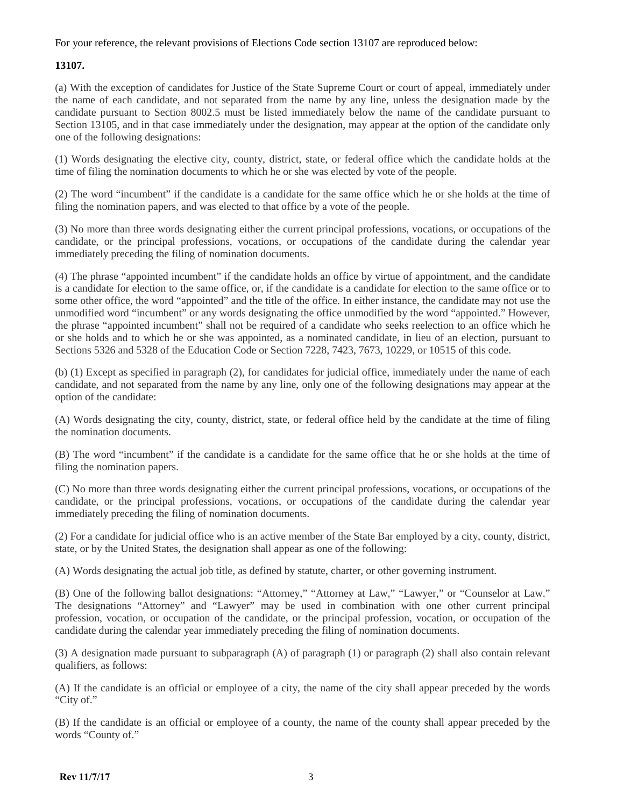#### For your reference, the relevant provisions of Elections Code section 13107 are reproduced below:

### **13107.**

(a) With the exception of candidates for Justice of the State Supreme Court or court of appeal, immediately under the name of each candidate, and not separated from the name by any line, unless the designation made by the candidate pursuant to Section 8002.5 must be listed immediately below the name of the candidate pursuant to Section 13105, and in that case immediately under the designation, may appear at the option of the candidate only one of the following designations:

(1) Words designating the elective city, county, district, state, or federal office which the candidate holds at the time of filing the nomination documents to which he or she was elected by vote of the people.

(2) The word "incumbent" if the candidate is a candidate for the same office which he or she holds at the time of filing the nomination papers, and was elected to that office by a vote of the people.

(3) No more than three words designating either the current principal professions, vocations, or occupations of the candidate, or the principal professions, vocations, or occupations of the candidate during the calendar year immediately preceding the filing of nomination documents.

(4) The phrase "appointed incumbent" if the candidate holds an office by virtue of appointment, and the candidate is a candidate for election to the same office, or, if the candidate is a candidate for election to the same office or to some other office, the word "appointed" and the title of the office. In either instance, the candidate may not use the unmodified word "incumbent" or any words designating the office unmodified by the word "appointed." However, the phrase "appointed incumbent" shall not be required of a candidate who seeks reelection to an office which he or she holds and to which he or she was appointed, as a nominated candidate, in lieu of an election, pursuant to Sections 5326 and 5328 of the Education Code or Section 7228, 7423, 7673, 10229, or 10515 of this code.

(b) (1) Except as specified in paragraph (2), for candidates for judicial office, immediately under the name of each candidate, and not separated from the name by any line, only one of the following designations may appear at the option of the candidate:

(A) Words designating the city, county, district, state, or federal office held by the candidate at the time of filing the nomination documents.

(B) The word "incumbent" if the candidate is a candidate for the same office that he or she holds at the time of filing the nomination papers.

(C) No more than three words designating either the current principal professions, vocations, or occupations of the candidate, or the principal professions, vocations, or occupations of the candidate during the calendar year immediately preceding the filing of nomination documents.

(2) For a candidate for judicial office who is an active member of the State Bar employed by a city, county, district, state, or by the United States, the designation shall appear as one of the following:

(A) Words designating the actual job title, as defined by statute, charter, or other governing instrument.

(B) One of the following ballot designations: "Attorney," "Attorney at Law," "Lawyer," or "Counselor at Law." The designations "Attorney" and "Lawyer" may be used in combination with one other current principal profession, vocation, or occupation of the candidate, or the principal profession, vocation, or occupation of the candidate during the calendar year immediately preceding the filing of nomination documents.

(3) A designation made pursuant to subparagraph (A) of paragraph (1) or paragraph (2) shall also contain relevant qualifiers, as follows:

(A) If the candidate is an official or employee of a city, the name of the city shall appear preceded by the words "City of."

(B) If the candidate is an official or employee of a county, the name of the county shall appear preceded by the words "County of."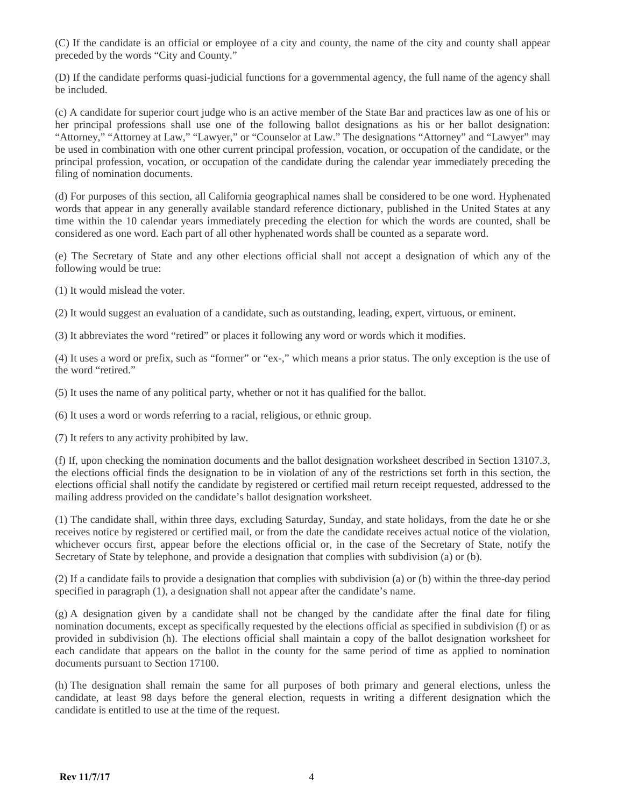(C) If the candidate is an official or employee of a city and county, the name of the city and county shall appear preceded by the words "City and County."

(D) If the candidate performs quasi-judicial functions for a governmental agency, the full name of the agency shall be included.

(c) A candidate for superior court judge who is an active member of the State Bar and practices law as one of his or her principal professions shall use one of the following ballot designations as his or her ballot designation: "Attorney," "Attorney at Law," "Lawyer," or "Counselor at Law." The designations "Attorney" and "Lawyer" may be used in combination with one other current principal profession, vocation, or occupation of the candidate, or the principal profession, vocation, or occupation of the candidate during the calendar year immediately preceding the filing of nomination documents.

(d) For purposes of this section, all California geographical names shall be considered to be one word. Hyphenated words that appear in any generally available standard reference dictionary, published in the United States at any time within the 10 calendar years immediately preceding the election for which the words are counted, shall be considered as one word. Each part of all other hyphenated words shall be counted as a separate word.

(e) The Secretary of State and any other elections official shall not accept a designation of which any of the following would be true:

- (1) It would mislead the voter.
- (2) It would suggest an evaluation of a candidate, such as outstanding, leading, expert, virtuous, or eminent.

(3) It abbreviates the word "retired" or places it following any word or words which it modifies.

(4) It uses a word or prefix, such as "former" or "ex-," which means a prior status. The only exception is the use of the word "retired."

(5) It uses the name of any political party, whether or not it has qualified for the ballot.

(6) It uses a word or words referring to a racial, religious, or ethnic group.

(7) It refers to any activity prohibited by law.

(f) If, upon checking the nomination documents and the ballot designation worksheet described in Section 13107.3, the elections official finds the designation to be in violation of any of the restrictions set forth in this section, the elections official shall notify the candidate by registered or certified mail return receipt requested, addressed to the mailing address provided on the candidate's ballot designation worksheet.

(1) The candidate shall, within three days, excluding Saturday, Sunday, and state holidays, from the date he or she receives notice by registered or certified mail, or from the date the candidate receives actual notice of the violation, whichever occurs first, appear before the elections official or, in the case of the Secretary of State, notify the Secretary of State by telephone, and provide a designation that complies with subdivision (a) or (b).

(2) If a candidate fails to provide a designation that complies with subdivision (a) or (b) within the three-day period specified in paragraph (1), a designation shall not appear after the candidate's name.

(g) A designation given by a candidate shall not be changed by the candidate after the final date for filing nomination documents, except as specifically requested by the elections official as specified in subdivision (f) or as provided in subdivision (h). The elections official shall maintain a copy of the ballot designation worksheet for each candidate that appears on the ballot in the county for the same period of time as applied to nomination documents pursuant to Section 17100.

(h) The designation shall remain the same for all purposes of both primary and general elections, unless the candidate, at least 98 days before the general election, requests in writing a different designation which the candidate is entitled to use at the time of the request.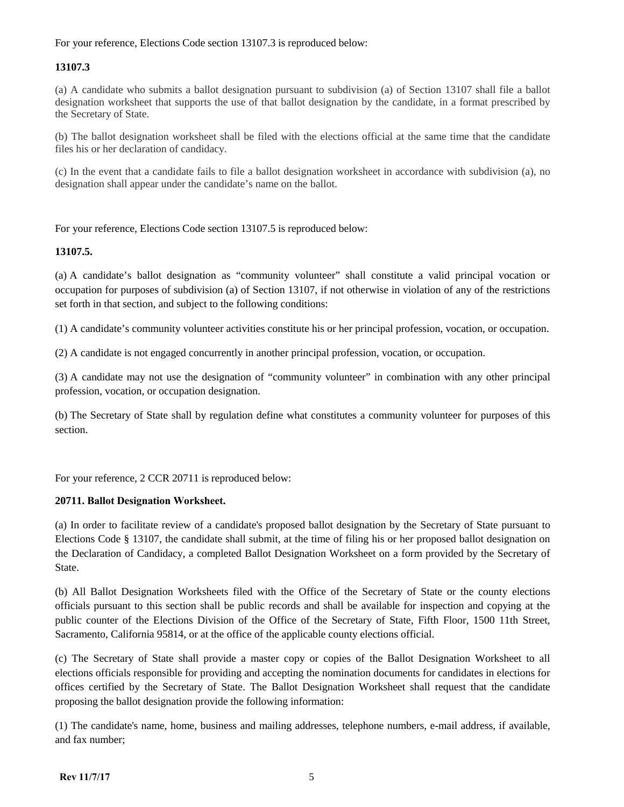### For your reference, Elections Code section 13107.3 is reproduced below:

## **13107.3**

(a) A candidate who submits a ballot designation pursuant to subdivision (a) of Section 13107 shall file a ballot designation worksheet that supports the use of that ballot designation by the candidate, in a format prescribed by the Secretary of State.

(b) The ballot designation worksheet shall be filed with the elections official at the same time that the candidate files his or her declaration of candidacy.

(c) In the event that a candidate fails to file a ballot designation worksheet in accordance with subdivision (a), no designation shall appear under the candidate's name on the ballot.

For your reference, Elections Code section 13107.5 is reproduced below:

### **13107.5.**

(a) A candidate's ballot designation as "community volunteer" shall constitute a valid principal vocation or occupation for purposes of subdivision (a) of Section 13107, if not otherwise in violation of any of the restrictions set forth in that section, and subject to the following conditions:

(1) A candidate's community volunteer activities constitute his or her principal profession, vocation, or occupation.

(2) A candidate is not engaged concurrently in another principal profession, vocation, or occupation.

(3) A candidate may not use the designation of "community volunteer" in combination with any other principal profession, vocation, or occupation designation.

(b) The Secretary of State shall by regulation define what constitutes a community volunteer for purposes of this section.

For your reference, 2 CCR 20711 is reproduced below:

### **20711. Ballot Designation Worksheet.**

(a) In order to facilitate review of a candidate's proposed ballot designation by the Secretary of State pursuant to Elections Code § 13107, the candidate shall submit, at the time of filing his or her proposed ballot designation on the Declaration of Candidacy, a completed Ballot Designation Worksheet on a form provided by the Secretary of State.

(b) All Ballot Designation Worksheets filed with the Office of the Secretary of State or the county elections officials pursuant to this section shall be public records and shall be available for inspection and copying at the public counter of the Elections Division of the Office of the Secretary of State, Fifth Floor, 1500 11th Street, Sacramento, California 95814, or at the office of the applicable county elections official.

(c) The Secretary of State shall provide a master copy or copies of the Ballot Designation Worksheet to all elections officials responsible for providing and accepting the nomination documents for candidates in elections for offices certified by the Secretary of State. The Ballot Designation Worksheet shall request that the candidate proposing the ballot designation provide the following information:

(1) The candidate's name, home, business and mailing addresses, telephone numbers, e-mail address, if available, and fax number;